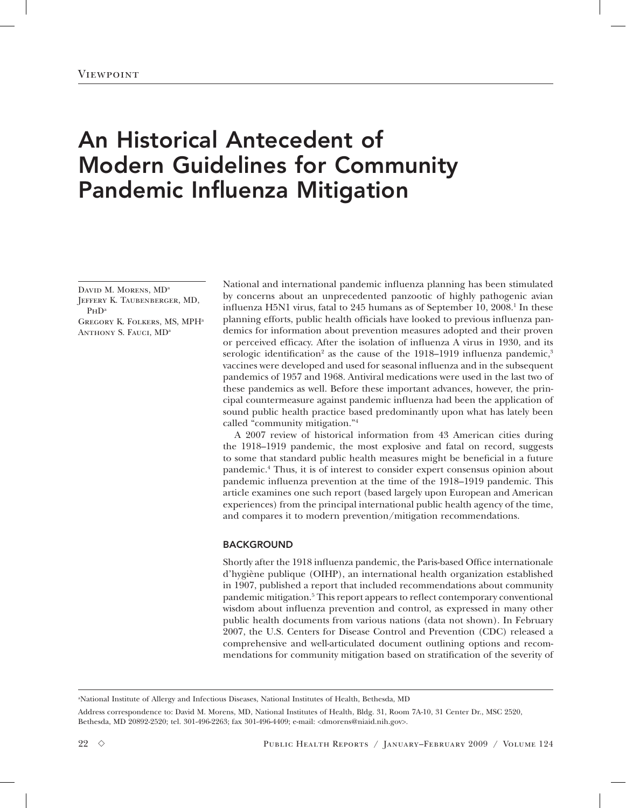# An Historical Antecedent of Modern Guidelines for Community Pandemic Influenza Mitigation

DAVID M. MORENS, MD<sup>a</sup> Jeffery K. Taubenberger, MD, P<sub>HD</sub><sup>a</sup> Gregory K. Folkers, MS, MPHa ANTHONY S. FAUCI, MD<sup>a</sup>

National and international pandemic influenza planning has been stimulated by concerns about an unprecedented panzootic of highly pathogenic avian influenza H5N1 virus, fatal to 245 humans as of September 10, 2008.<sup>1</sup> In these planning efforts, public health officials have looked to previous influenza pandemics for information about prevention measures adopted and their proven or perceived efficacy. After the isolation of influenza A virus in 1930, and its serologic identification<sup>2</sup> as the cause of the 1918–1919 influenza pandemic,<sup>3</sup> vaccines were developed and used for seasonal influenza and in the subsequent pandemics of 1957 and 1968. Antiviral medications were used in the last two of these pandemics as well. Before these important advances, however, the principal countermeasure against pandemic influenza had been the application of sound public health practice based predominantly upon what has lately been called "community mitigation."4

A 2007 review of historical information from 43 American cities during the 1918–1919 pandemic, the most explosive and fatal on record, suggests to some that standard public health measures might be beneficial in a future pandemic.4 Thus, it is of interest to consider expert consensus opinion about pandemic influenza prevention at the time of the 1918–1919 pandemic. This article examines one such report (based largely upon European and American experiences) from the principal international public health agency of the time, and compares it to modern prevention/mitigation recommendations.

## BACKGROUND

Shortly after the 1918 influenza pandemic, the Paris-based Office internationale d'hygiène publique (OIHP), an international health organization established in 1907, published a report that included recommendations about community pandemic mitigation.<sup>5</sup> This report appears to reflect contemporary conventional wisdom about influenza prevention and control, as expressed in many other public health documents from various nations (data not shown). In February 2007, the U.S. Centers for Disease Control and Prevention (CDC) released a comprehensive and well-articulated document outlining options and recommendations for community mitigation based on stratification of the severity of

a National Institute of Allergy and Infectious Diseases, National Institutes of Health, Bethesda, MD

Address correspondence to: David M. Morens, MD, National Institutes of Health, Bldg. 31, Room 7A-10, 31 Center Dr., MSC 2520, Bethesda, MD 20892-2520; tel. 301-496-2263; fax 301-496-4409; e-mail: <dmorens@niaid.nih.gov>.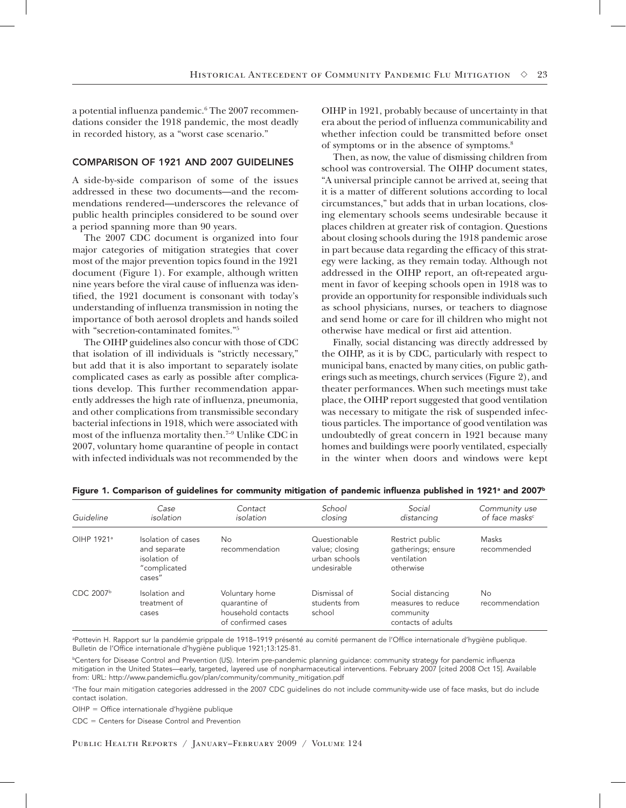a potential influenza pandemic.<sup>6</sup> The 2007 recommendations consider the 1918 pandemic, the most deadly in recorded history, as a "worst case scenario."

### COMPARISON OF 1921 AND 2007 GUIDELINES

A side-by-side comparison of some of the issues addressed in these two documents—and the recommendations rendered—underscores the relevance of public health principles considered to be sound over a period spanning more than 90 years.

The 2007 CDC document is organized into four major categories of mitigation strategies that cover most of the major prevention topics found in the 1921 document (Figure 1). For example, although written nine years before the viral cause of influenza was identified, the 1921 document is consonant with today's understanding of influenza transmission in noting the importance of both aerosol droplets and hands soiled with "secretion-contaminated fomites."5

The OIHP guidelines also concur with those of CDC that isolation of ill individuals is "strictly necessary," but add that it is also important to separately isolate complicated cases as early as possible after complications develop. This further recommendation apparently addresses the high rate of influenza, pneumonia, and other complications from transmissible secondary bacterial infections in 1918, which were associated with most of the influenza mortality then.7–9 Unlike CDC in 2007, voluntary home quarantine of people in contact with infected individuals was not recommended by the

OIHP in 1921, probably because of uncertainty in that era about the period of influenza communicability and whether infection could be transmitted before onset of symptoms or in the absence of symptoms.8

Then, as now, the value of dismissing children from school was controversial. The OIHP document states, "A universal principle cannot be arrived at, seeing that it is a matter of different solutions according to local circumstances," but adds that in urban locations, closing elementary schools seems undesirable because it places children at greater risk of contagion. Questions about closing schools during the 1918 pandemic arose in part because data regarding the efficacy of this strategy were lacking, as they remain today. Although not addressed in the OIHP report, an oft-repeated argument in favor of keeping schools open in 1918 was to provide an opportunity for responsible individuals such as school physicians, nurses, or teachers to diagnose and send home or care for ill children who might not otherwise have medical or first aid attention.

Finally, social distancing was directly addressed by the OIHP, as it is by CDC, particularly with respect to municipal bans, enacted by many cities, on public gatherings such as meetings, church services (Figure 2), and theater performances. When such meetings must take place, the OIHP report suggested that good ventilation was necessary to mitigate the risk of suspended infectious particles. The importance of good ventilation was undoubtedly of great concern in 1921 because many homes and buildings were poorly ventilated, especially in the winter when doors and windows were kept

| Guideline              | Case<br>isolation                                                            | Contact<br>isolation                                                        | School<br>closing                                              | Social<br>distancing                                                       | Community use<br>of face masks <sup>c</sup> |
|------------------------|------------------------------------------------------------------------------|-----------------------------------------------------------------------------|----------------------------------------------------------------|----------------------------------------------------------------------------|---------------------------------------------|
| OIHP 1921 <sup>a</sup> | Isolation of cases<br>and separate<br>isolation of<br>"complicated<br>cases" | No<br>recommendation                                                        | Questionable<br>value; closing<br>urban schools<br>undesirable | Restrict public<br>gatherings; ensure<br>ventilation<br>otherwise          | Masks<br>recommended                        |
| CDC $2007b$            | Isolation and<br>treatment of<br>cases                                       | Voluntary home<br>quarantine of<br>household contacts<br>of confirmed cases | Dismissal of<br>students from<br>school                        | Social distancing<br>measures to reduce<br>community<br>contacts of adults | No<br>recommendation                        |

Figure 1. Comparison of guidelines for community mitigation of pandemic influenza published in 1921ª and 2007b

a Pottevin H. Rapport sur la pandémie grippale de 1918–1919 présenté au comité permanent de l'Office internationale d'hygiène publique. Bulletin de l'Office internationale d'hygiène publique 1921;13:125-81.

**bCenters for Disease Control and Prevention (US). Interim pre-pandemic planning guidance: community strategy for pandemic influenza** mitigation in the United States—early, targeted, layered use of nonpharmaceutical interventions. February 2007 [cited 2008 Oct 15]. Available from: URL: http://www.pandemicflu.gov/plan/community/community\_mitigation.pdf

c The four main mitigation categories addressed in the 2007 CDC guidelines do not include community-wide use of face masks, but do include contact isolation.

OIHP = Office internationale d'hygiène publique

 $CDC = Centers for Disease Control and Prevention$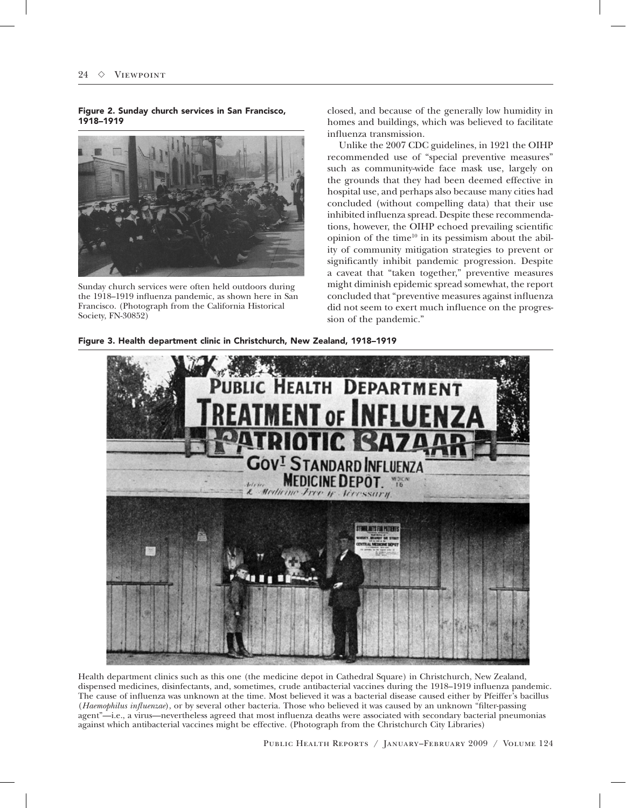Figure 2. Sunday church services in San Francisco, 1918–1919



Sunday church services were often held outdoors during the 1918–1919 influenza pandemic, as shown here in San Francisco. (Photograph from the California Historical Society, FN-30852)

closed, and because of the generally low humidity in homes and buildings, which was believed to facilitate influenza transmission.

Unlike the 2007 CDC guidelines, in 1921 the OIHP recommended use of "special preventive measures" such as community-wide face mask use, largely on the grounds that they had been deemed effective in hospital use, and perhaps also because many cities had concluded (without compelling data) that their use inhibited influenza spread. Despite these recommendations, however, the OIHP echoed prevailing scientific opinion of the time $10$  in its pessimism about the ability of community mitigation strategies to prevent or significantly inhibit pandemic progression. Despite a caveat that "taken together," preventive measures might diminish epidemic spread somewhat, the report concluded that "preventive measures against influenza did not seem to exert much influence on the progression of the pandemic."





Health department clinics such as this one (the medicine depot in Cathedral Square) in Christchurch, New Zealand, dispensed medicines, disinfectants, and, sometimes, crude antibacterial vaccines during the 1918–1919 influenza pandemic. The cause of influenza was unknown at the time. Most believed it was a bacterial disease caused either by Pfeiffer's bacillus (*Haemophilus influenzae*), or by several other bacteria. Those who believed it was caused by an unknown "filter-passing agent"—i.e., a virus—nevertheless agreed that most influenza deaths were associated with secondary bacterial pneumonias against which antibacterial vaccines might be effective. (Photograph from the Christchurch City Libraries)